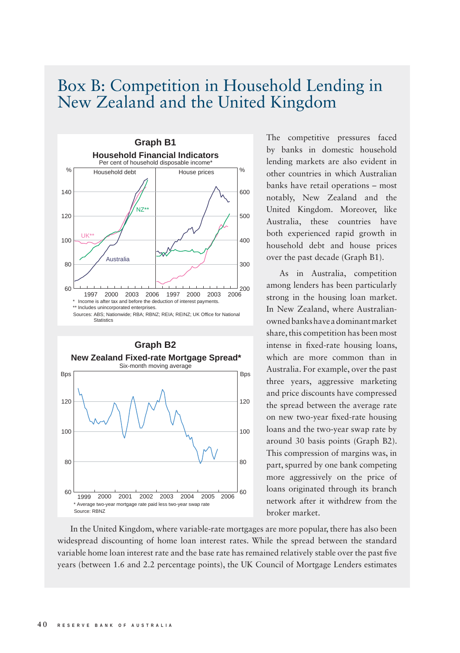## Box B: Competition in Household Lending in New Zealand and the United Kingdom





The competitive pressures faced by banks in domestic household lending markets are also evident in other countries in which Australian banks have retail operations – most notably, New Zealand and the United Kingdom. Moreover, like Australia, these countries have both experienced rapid growth in household debt and house prices over the past decade (Graph B1).

As in Australia, competition among lenders has been particularly strong in the housing loan market. In New Zealand, where Australianowned banks have a dominant market share, this competition has been most intense in fixed-rate housing loans, which are more common than in Australia. For example, over the past three years, aggressive marketing and price discounts have compressed the spread between the average rate on new two-year fixed-rate housing loans and the two-year swap rate by around 30 basis points (Graph B2). This compression of margins was, in part, spurred by one bank competing more aggressively on the price of loans originated through its branch network after it withdrew from the broker market.

In the United Kingdom, where variable-rate mortgages are more popular, there has also been widespread discounting of home loan interest rates. While the spread between the standard variable home loan interest rate and the base rate has remained relatively stable over the past five years (between 1.6 and 2.2 percentage points), the UK Council of Mortgage Lenders estimates